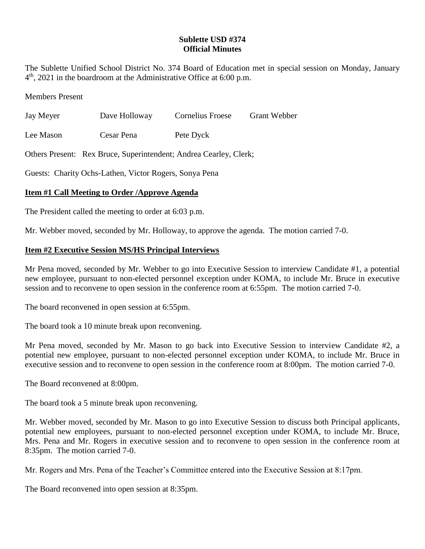## **Sublette USD #374 Official Minutes**

The Sublette Unified School District No. 374 Board of Education met in special session on Monday, January 4 th , 2021 in the boardroom at the Administrative Office at 6:00 p.m.

Members Present

| Jay Meyer | Dave Holloway | Cornelius Froese | <b>Grant Webber</b> |
|-----------|---------------|------------------|---------------------|
|           |               |                  |                     |

Lee Mason Cesar Pena Pete Dyck

Others Present: Rex Bruce, Superintendent; Andrea Cearley, Clerk;

Guests: Charity Ochs-Lathen, Victor Rogers, Sonya Pena

## **Item #1 Call Meeting to Order /Approve Agenda**

The President called the meeting to order at 6:03 p.m.

Mr. Webber moved, seconded by Mr. Holloway, to approve the agenda. The motion carried 7-0.

## **Item #2 Executive Session MS/HS Principal Interviews**

Mr Pena moved, seconded by Mr. Webber to go into Executive Session to interview Candidate #1, a potential new employee, pursuant to non-elected personnel exception under KOMA, to include Mr. Bruce in executive session and to reconvene to open session in the conference room at 6:55pm. The motion carried 7-0.

The board reconvened in open session at 6:55pm.

The board took a 10 minute break upon reconvening.

Mr Pena moved, seconded by Mr. Mason to go back into Executive Session to interview Candidate #2, a potential new employee, pursuant to non-elected personnel exception under KOMA, to include Mr. Bruce in executive session and to reconvene to open session in the conference room at 8:00pm. The motion carried 7-0.

The Board reconvened at 8:00pm.

The board took a 5 minute break upon reconvening.

Mr. Webber moved, seconded by Mr. Mason to go into Executive Session to discuss both Principal applicants, potential new employees, pursuant to non-elected personnel exception under KOMA, to include Mr. Bruce, Mrs. Pena and Mr. Rogers in executive session and to reconvene to open session in the conference room at 8:35pm. The motion carried 7-0.

Mr. Rogers and Mrs. Pena of the Teacher's Committee entered into the Executive Session at 8:17pm.

The Board reconvened into open session at 8:35pm.